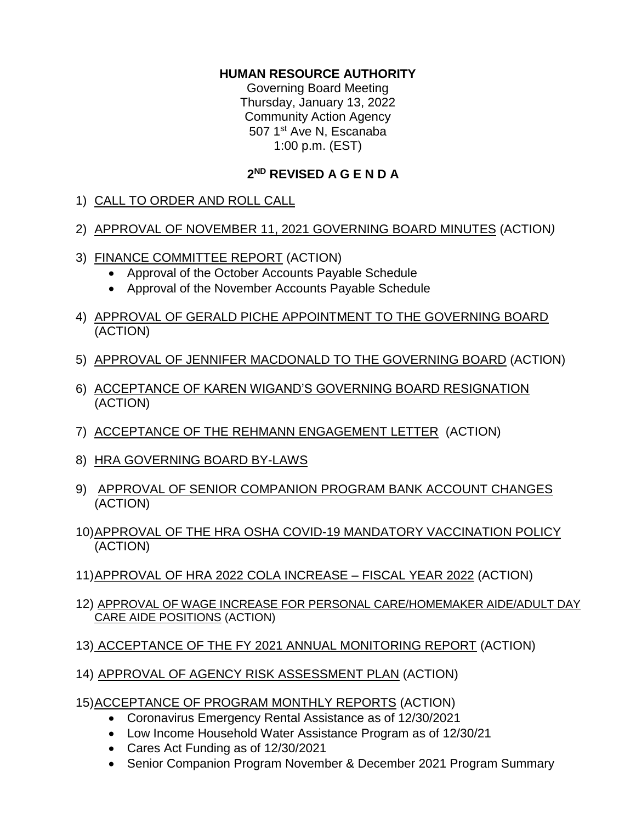## **HUMAN RESOURCE AUTHORITY**

Governing Board Meeting Thursday, January 13, 2022 Community Action Agency 507 1<sup>st</sup> Ave N, Escanaba 1:00 p.m. (EST)

## **2 ND REVISED A G E N D A**

1) CALL TO ORDER AND ROLL CALL

## 2) APPROVAL OF NOVEMBER 11, 2021 GOVERNING BOARD MINUTES (ACTION*)*

- 3) FINANCE COMMITTEE REPORT (ACTION)
	- Approval of the October Accounts Payable Schedule
	- Approval of the November Accounts Payable Schedule
- 4) APPROVAL OF GERALD PICHE APPOINTMENT TO THE GOVERNING BOARD (ACTION)
- 5) APPROVAL OF JENNIFER MACDONALD TO THE GOVERNING BOARD (ACTION)
- 6) ACCEPTANCE OF KAREN WIGAND'S GOVERNING BOARD RESIGNATION (ACTION)
- 7) ACCEPTANCE OF THE REHMANN ENGAGEMENT LETTER (ACTION)
- 8) HRA GOVERNING BOARD BY-LAWS
- 9) APPROVAL OF SENIOR COMPANION PROGRAM BANK ACCOUNT CHANGES (ACTION)
- 10)APPROVAL OF THE HRA OSHA COVID-19 MANDATORY VACCINATION POLICY (ACTION)
- 11)APPROVAL OF HRA 2022 COLA INCREASE FISCAL YEAR 2022 (ACTION)
- 12) APPROVAL OF WAGE INCREASE FOR PERSONAL CARE/HOMEMAKER AIDE/ADULT DAY CARE AIDE POSITIONS (ACTION)
- 13) ACCEPTANCE OF THE FY 2021 ANNUAL MONITORING REPORT (ACTION)
- 14) APPROVAL OF AGENCY RISK ASSESSMENT PLAN (ACTION)
- 15)ACCEPTANCE OF PROGRAM MONTHLY REPORTS (ACTION)
	- Coronavirus Emergency Rental Assistance as of 12/30/2021
	- Low Income Household Water Assistance Program as of 12/30/21
	- Cares Act Funding as of 12/30/2021
	- Senior Companion Program November & December 2021 Program Summary